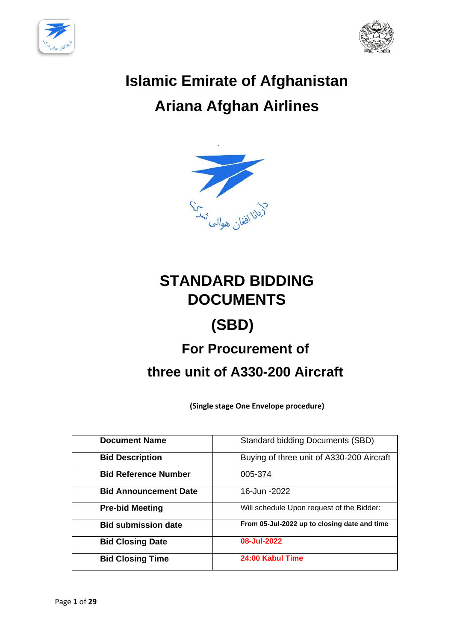



# **Islamic Emirate of Afghanistan Ariana Afghan Airlines**



# **STANDARD BIDDING DOCUMENTS**

# **(SBD)**

# **For Procurement of**

# **three unit of A330-200 Aircraft**

**(Single stage One Envelope procedure)**

| <b>Document Name</b>         | <b>Standard bidding Documents (SBD)</b>      |
|------------------------------|----------------------------------------------|
| <b>Bid Description</b>       | Buying of three unit of A330-200 Aircraft    |
| <b>Bid Reference Number</b>  | 005-374                                      |
| <b>Bid Announcement Date</b> | 16-Jun -2022                                 |
| <b>Pre-bid Meeting</b>       | Will schedule Upon request of the Bidder:    |
| <b>Bid submission date</b>   | From 05-Jul-2022 up to closing date and time |
| <b>Bid Closing Date</b>      | 08-Jul-2022                                  |
| <b>Bid Closing Time</b>      | 24:00 Kabul Time                             |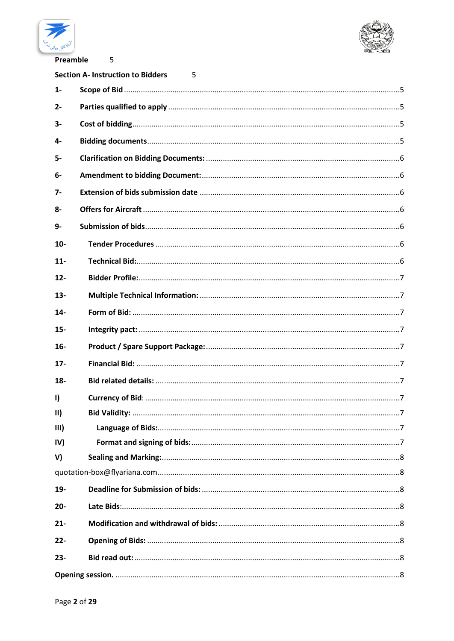



Preamble

5

|                     | <b>Section A- Instruction to Bidders</b><br>5. |
|---------------------|------------------------------------------------|
| $1 -$               |                                                |
| $2 -$               |                                                |
| $3-$                |                                                |
| 4-                  |                                                |
| $5-$                |                                                |
| 6-                  |                                                |
| $7-$                |                                                |
| $8-$                |                                                |
| $9-$                |                                                |
| $10-$               |                                                |
| $11-$               |                                                |
| $12 -$              |                                                |
| $13 -$              |                                                |
| $14-$               |                                                |
| $15-$               |                                                |
| $16-$               |                                                |
| $17 -$              |                                                |
| $18-$               |                                                |
| $\mathbf{I}$        |                                                |
| $\vert \vert \vert$ |                                                |
| III)                |                                                |
| IV)                 |                                                |
| V)                  |                                                |
|                     |                                                |
| 19-                 |                                                |
| $20 -$              |                                                |
| $21 -$              |                                                |
| $22 -$              |                                                |
| $23 -$              |                                                |
|                     |                                                |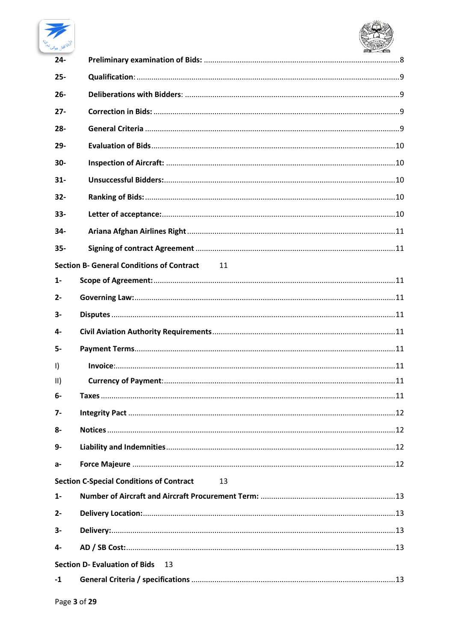

| <sup>ہ ا</sup> فغا <sub>ن</sub> ھواڻ |                                                        |  |
|--------------------------------------|--------------------------------------------------------|--|
| $24 -$                               |                                                        |  |
| $25 -$                               |                                                        |  |
| $26 -$                               |                                                        |  |
| $27 -$                               |                                                        |  |
| $28 -$                               |                                                        |  |
| $29 -$                               |                                                        |  |
| $30 -$                               |                                                        |  |
| $31 -$                               |                                                        |  |
| $32 -$                               |                                                        |  |
| $33 -$                               |                                                        |  |
| 34-                                  |                                                        |  |
| $35 -$                               |                                                        |  |
|                                      | <b>Section B- General Conditions of Contract</b><br>11 |  |
| $1 -$                                |                                                        |  |
| $2 -$                                |                                                        |  |
| $3-$                                 |                                                        |  |
| 4-                                   |                                                        |  |
| 5-                                   |                                                        |  |
| $\vert$                              |                                                        |  |
| $\vert \vert$                        |                                                        |  |
| $6-$                                 |                                                        |  |
| $7-$                                 |                                                        |  |
| 8-                                   |                                                        |  |
| 9-                                   |                                                        |  |
| а-                                   |                                                        |  |
|                                      | <b>Section C-Special Conditions of Contract</b><br>13  |  |
| $1 -$                                |                                                        |  |
| $2 -$                                |                                                        |  |
| 3-                                   |                                                        |  |
| 4-                                   |                                                        |  |
|                                      | <b>Section D- Evaluation of Bids</b><br>13             |  |
| $-1$                                 |                                                        |  |
| $D = 22$                             |                                                        |  |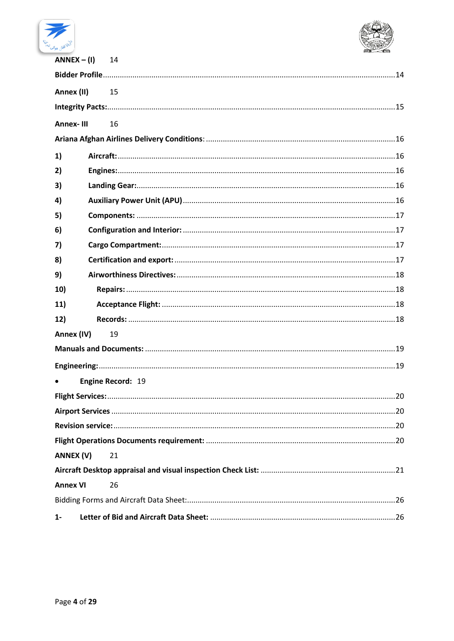



| $ANNEX - (1)$    | 14                |  |
|------------------|-------------------|--|
|                  |                   |  |
| Annex (II)       | 15                |  |
|                  |                   |  |
| <b>Annex-III</b> | 16                |  |
|                  |                   |  |
| 1)               |                   |  |
| 2)               |                   |  |
| 3)               |                   |  |
| 4)               |                   |  |
| 5)               |                   |  |
| 6)               |                   |  |
| 7)               |                   |  |
| 8)               |                   |  |
| 9)               |                   |  |
| 10)              |                   |  |
| 11)              |                   |  |
| 12)              |                   |  |
| Annex (IV)       | 19                |  |
|                  |                   |  |
|                  |                   |  |
|                  | Engine Record: 19 |  |
|                  |                   |  |
|                  |                   |  |
|                  |                   |  |
|                  |                   |  |
| ANNEX (V)        | 21                |  |
|                  |                   |  |
| <b>Annex VI</b>  | 26                |  |
|                  |                   |  |
| $1 -$            |                   |  |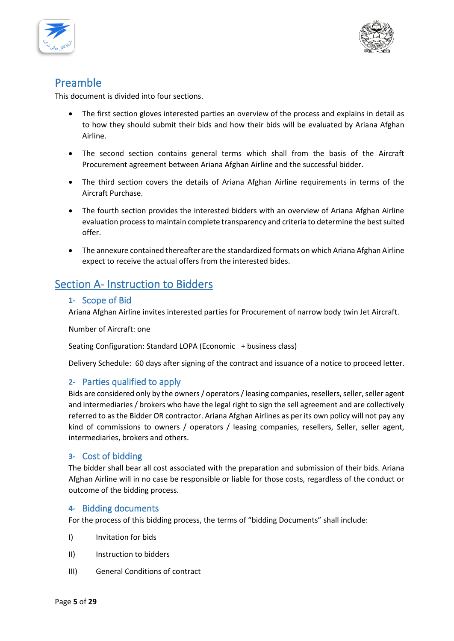



# <span id="page-4-0"></span>Preamble

This document is divided into four sections.

- The first section gloves interested parties an overview of the process and explains in detail as to how they should submit their bids and how their bids will be evaluated by Ariana Afghan Airline.
- The second section contains general terms which shall from the basis of the Aircraft Procurement agreement between Ariana Afghan Airline and the successful bidder.
- The third section covers the details of Ariana Afghan Airline requirements in terms of the Aircraft Purchase.
- The fourth section provides the interested bidders with an overview of Ariana Afghan Airline evaluation process to maintain complete transparency and criteria to determine the best suited offer.
- The annexure contained thereafter are the standardized formats on which Ariana Afghan Airline expect to receive the actual offers from the interested bides.

# <span id="page-4-2"></span><span id="page-4-1"></span>Section A- Instruction to Bidders

# **1-** Scope of Bid

Ariana Afghan Airline invites interested parties for Procurement of narrow body twin Jet Aircraft.

Number of Aircraft: one

Seating Configuration: Standard LOPA (Economic + business class)

Delivery Schedule: 60 days after signing of the contract and issuance of a notice to proceed letter.

# <span id="page-4-3"></span>**2-** Parties qualified to apply

Bids are considered only by the owners / operators / leasing companies, resellers, seller, seller agent and intermediaries / brokers who have the legal right to sign the sell agreement and are collectively referred to as the Bidder OR contractor. Ariana Afghan Airlines as per its own policy will not pay any kind of commissions to owners / operators / leasing companies, resellers, Seller, seller agent, intermediaries, brokers and others.

# <span id="page-4-4"></span>**3-** Cost of bidding

The bidder shall bear all cost associated with the preparation and submission of their bids. Ariana Afghan Airline will in no case be responsible or liable for those costs, regardless of the conduct or outcome of the bidding process.

# <span id="page-4-5"></span>**4-** Bidding documents

For the process of this bidding process, the terms of "bidding Documents" shall include:

- I) Invitation for bids
- II) Instruction to bidders
- III) General Conditions of contract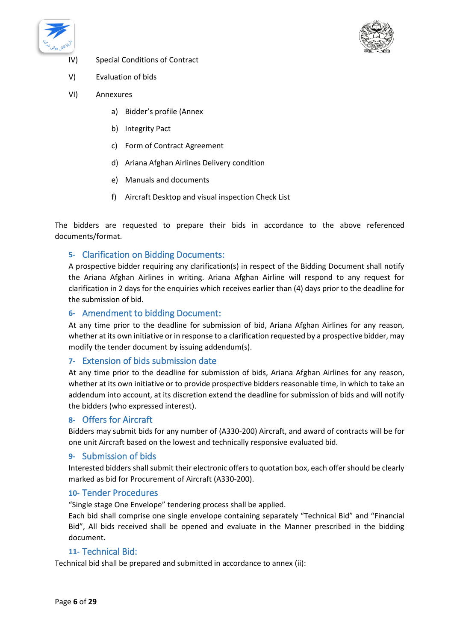



- IV) Special Conditions of Contract
- V) Evaluation of bids
- VI) Annexures
	- a) Bidder's profile (Annex
	- b) Integrity Pact
	- c) Form of Contract Agreement
	- d) Ariana Afghan Airlines Delivery condition
	- e) Manuals and documents
	- f) Aircraft Desktop and visual inspection Check List

The bidders are requested to prepare their bids in accordance to the above referenced documents/format.

# <span id="page-5-0"></span>**5-** Clarification on Bidding Documents:

A prospective bidder requiring any clarification(s) in respect of the Bidding Document shall notify the Ariana Afghan Airlines in writing. Ariana Afghan Airline will respond to any request for clarification in 2 days for the enquiries which receives earlier than (4) days prior to the deadline for the submission of bid.

#### <span id="page-5-1"></span>**6-** Amendment to bidding Document:

At any time prior to the deadline for submission of bid, Ariana Afghan Airlines for any reason, whether at its own initiative or in response to a clarification requested by a prospective bidder, may modify the tender document by issuing addendum(s).

#### <span id="page-5-2"></span>**7-** Extension of bids submission date

At any time prior to the deadline for submission of bids, Ariana Afghan Airlines for any reason, whether at its own initiative or to provide prospective bidders reasonable time, in which to take an addendum into account, at its discretion extend the deadline for submission of bids and will notify the bidders (who expressed interest).

#### <span id="page-5-3"></span>**8-** Offers for Aircraft

Bidders may submit bids for any number of (A330-200) Aircraft, and award of contracts will be for one unit Aircraft based on the lowest and technically responsive evaluated bid.

#### <span id="page-5-4"></span>**9-** Submission of bids

Interested bidders shall submit their electronic offers to quotation box, each offer should be clearly marked as bid for Procurement of Aircraft (A330-200).

#### <span id="page-5-5"></span>**10-** Tender Procedures

"Single stage One Envelope" tendering process shall be applied.

Each bid shall comprise one single envelope containing separately "Technical Bid" and "Financial Bid", All bids received shall be opened and evaluate in the Manner prescribed in the bidding document.

# **11-** Technical Bid:

<span id="page-5-6"></span>Technical bid shall be prepared and submitted in accordance to annex (ii):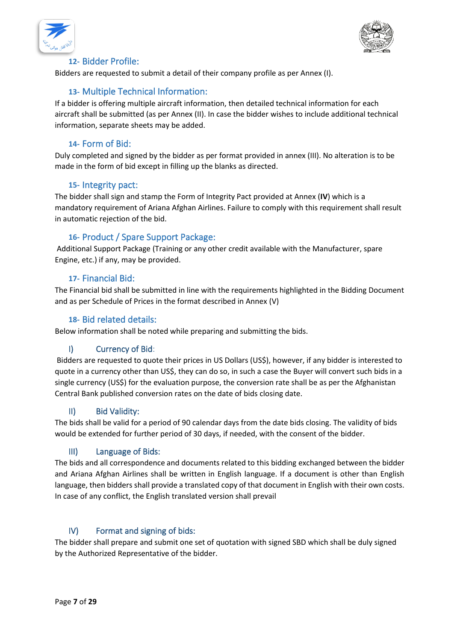



# **12-** Bidder Profile:

<span id="page-6-0"></span>Bidders are requested to submit a detail of their company profile as per Annex (I).

# **13-** Multiple Technical Information:

<span id="page-6-1"></span>If a bidder is offering multiple aircraft information, then detailed technical information for each aircraft shall be submitted (as per Annex (II). In case the bidder wishes to include additional technical information, separate sheets may be added.

# **14-** Form of Bid:

<span id="page-6-2"></span>Duly completed and signed by the bidder as per format provided in annex (III). No alteration is to be made in the form of bid except in filling up the blanks as directed.

#### **15-** Integrity pact:

<span id="page-6-3"></span>The bidder shall sign and stamp the Form of Integrity Pact provided at Annex (**IV**) which is a mandatory requirement of Ariana Afghan Airlines. Failure to comply with this requirement shall result in automatic rejection of the bid.

# **16-** Product / Spare Support Package:

<span id="page-6-4"></span>Additional Support Package (Training or any other credit available with the Manufacturer, spare Engine, etc.) if any, may be provided.

# **17-** Financial Bid:

<span id="page-6-5"></span>The Financial bid shall be submitted in line with the requirements highlighted in the Bidding Document and as per Schedule of Prices in the format described in Annex (V)

#### **18-** Bid related details:

<span id="page-6-6"></span>Below information shall be noted while preparing and submitting the bids.

# I) Currency of Bid:

<span id="page-6-7"></span>Bidders are requested to quote their prices in US Dollars (US\$), however, if any bidder is interested to quote in a currency other than US\$, they can do so, in such a case the Buyer will convert such bids in a single currency (US\$) for the evaluation purpose, the conversion rate shall be as per the Afghanistan Central Bank published conversion rates on the date of bids closing date.

# II) Bid Validity:

<span id="page-6-8"></span>The bids shall be valid for a period of 90 calendar days from the date bids closing. The validity of bids would be extended for further period of 30 days, if needed, with the consent of the bidder.

#### III) Language of Bids:

<span id="page-6-9"></span>The bids and all correspondence and documents related to this bidding exchanged between the bidder and Ariana Afghan Airlines shall be written in English language. If a document is other than English language, then bidders shall provide a translated copy of that document in English with their own costs. In case of any conflict, the English translated version shall prevail

# IV) Format and signing of bids:

<span id="page-6-10"></span>The bidder shall prepare and submit one set of quotation with signed SBD which shall be duly signed by the Authorized Representative of the bidder.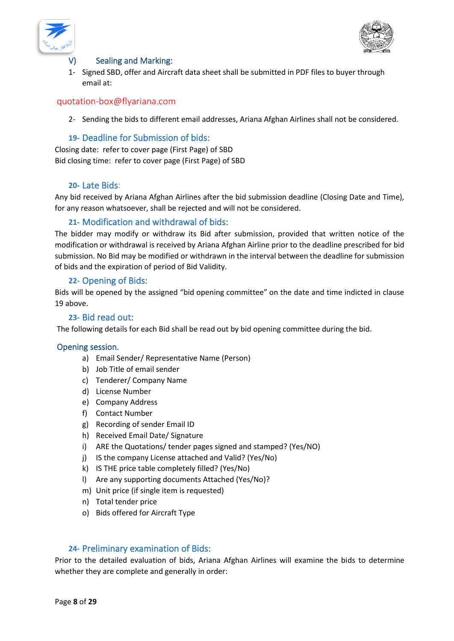



#### <span id="page-7-0"></span>V) Sealing and Marking:

1- Signed SBD, offer and Aircraft data sheet shall be submitted in PDF files to buyer through email at:

#### <span id="page-7-1"></span>[quotation-box@flyariana.com](mailto:quotation-box@flyariana.com)

2- Sending the bids to different email addresses, Ariana Afghan Airlines shall not be considered.

# **19-** Deadline for Submission of bids:

<span id="page-7-2"></span>Closing date: refer to cover page (First Page) of SBD Bid closing time: refer to cover page (First Page) of SBD

#### **20-** Late Bids:

<span id="page-7-3"></span>Any bid received by Ariana Afghan Airlines after the bid submission deadline (Closing Date and Time), for any reason whatsoever, shall be rejected and will not be considered.

#### **21-** Modification and withdrawal of bids:

<span id="page-7-4"></span>The bidder may modify or withdraw its Bid after submission, provided that written notice of the modification or withdrawal is received by Ariana Afghan Airline prior to the deadline prescribed for bid submission. No Bid may be modified or withdrawn in the interval between the deadline for submission of bids and the expiration of period of Bid Validity.

#### **22-** Opening of Bids:

<span id="page-7-5"></span>Bids will be opened by the assigned "bid opening committee" on the date and time indicted in clause 19 above.

#### **23-** Bid read out:

<span id="page-7-6"></span>The following details for each Bid shall be read out by bid opening committee during the bid.

#### <span id="page-7-7"></span>Opening session.

- a) Email Sender/ Representative Name (Person)
- b) Job Title of email sender
- c) Tenderer/ Company Name
- d) License Number
- e) Company Address
- f) Contact Number
- g) Recording of sender Email ID
- h) Received Email Date/ Signature
- i) ARE the Quotations/ tender pages signed and stamped? (Yes/NO)
- j) IS the company License attached and Valid? (Yes/No)
- k) IS THE price table completely filled? (Yes/No)
- l) Are any supporting documents Attached (Yes/No)?
- m) Unit price (if single item is requested)
- n) Total tender price
- o) Bids offered for Aircraft Type

#### **24-** Preliminary examination of Bids:

<span id="page-7-8"></span>Prior to the detailed evaluation of bids, Ariana Afghan Airlines will examine the bids to determine whether they are complete and generally in order: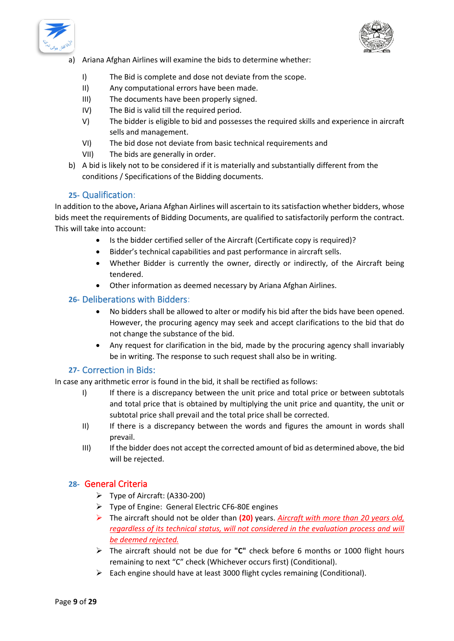



- a) Ariana Afghan Airlines will examine the bids to determine whether:
	- I) The Bid is complete and dose not deviate from the scope.
	- II) Any computational errors have been made.
	- III) The documents have been properly signed.
	- IV) The Bid is valid till the required period.
	- V) The bidder is eligible to bid and possesses the required skills and experience in aircraft sells and management.
	- VI) The bid dose not deviate from basic technical requirements and
	- VII) The bids are generally in order.
- b) A bid is likely not to be considered if it is materially and substantially different from the conditions / Specifications of the Bidding documents.

#### **25-** Qualification:

<span id="page-8-0"></span>In addition to the above**,** Ariana Afghan Airlines will ascertain to its satisfaction whether bidders, whose bids meet the requirements of Bidding Documents, are qualified to satisfactorily perform the contract. This will take into account:

- Is the bidder certified seller of the Aircraft (Certificate copy is required)?
- Bidder's technical capabilities and past performance in aircraft sells.
- Whether Bidder is currently the owner, directly or indirectly, of the Aircraft being tendered.
- Other information as deemed necessary by Ariana Afghan Airlines.

#### <span id="page-8-1"></span>**26-** Deliberations with Bidders:

- No bidders shall be allowed to alter or modify his bid after the bids have been opened. However, the procuring agency may seek and accept clarifications to the bid that do not change the substance of the bid.
- Any request for clarification in the bid, made by the procuring agency shall invariably be in writing. The response to such request shall also be in writing.

#### **27-** Correction in Bids:

<span id="page-8-2"></span>In case any arithmetic error is found in the bid, it shall be rectified as follows:

- I) If there is a discrepancy between the unit price and total price or between subtotals and total price that is obtained by multiplying the unit price and quantity, the unit or subtotal price shall prevail and the total price shall be corrected.
- II) If there is a discrepancy between the words and figures the amount in words shall prevail.
- III) If the bidder does not accept the corrected amount of bid as determined above, the bid will be rejected.

#### <span id="page-8-3"></span>**28-** General Criteria

- ➢ Type of Aircraft: (A330-200)
- ➢ Type of Engine: General Electric CF6-80E engines
- ➢ The aircraft should not be older than **(20)** years. *Aircraft with more than 20 years old, regardless of its technical status, will not considered in the evaluation process and will be deemed rejected.*
- ➢ The aircraft should not be due for **"C"** check before 6 months or 1000 flight hours remaining to next "C" check (Whichever occurs first) (Conditional).
- ➢ Each engine should have at least 3000 flight cycles remaining (Conditional).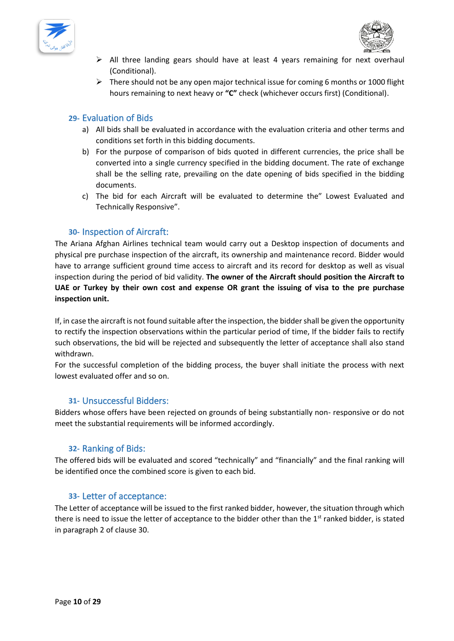



- ➢ All three landing gears should have at least 4 years remaining for next overhaul (Conditional).
- $\triangleright$  There should not be any open major technical issue for coming 6 months or 1000 flight hours remaining to next heavy or **"C"** check (whichever occurs first) (Conditional).

### <span id="page-9-0"></span>**29-** Evaluation of Bids

- a) All bids shall be evaluated in accordance with the evaluation criteria and other terms and conditions set forth in this bidding documents.
- b) For the purpose of comparison of bids quoted in different currencies, the price shall be converted into a single currency specified in the bidding document. The rate of exchange shall be the selling rate, prevailing on the date opening of bids specified in the bidding documents.
- c) The bid for each Aircraft will be evaluated to determine the" Lowest Evaluated and Technically Responsive".

#### **30-** Inspection of Aircraft:

<span id="page-9-1"></span>The Ariana Afghan Airlines technical team would carry out a Desktop inspection of documents and physical pre purchase inspection of the aircraft, its ownership and maintenance record. Bidder would have to arrange sufficient ground time access to aircraft and its record for desktop as well as visual inspection during the period of bid validity. **The owner of the Aircraft should position the Aircraft to UAE or Turkey by their own cost and expense OR grant the issuing of visa to the pre purchase inspection unit.** 

If, in case the aircraft is not found suitable after the inspection, the bidder shall be given the opportunity to rectify the inspection observations within the particular period of time, If the bidder fails to rectify such observations, the bid will be rejected and subsequently the letter of acceptance shall also stand withdrawn.

For the successful completion of the bidding process, the buyer shall initiate the process with next lowest evaluated offer and so on.

#### <span id="page-9-2"></span>**31-** Unsuccessful Bidders:

Bidders whose offers have been rejected on grounds of being substantially non- responsive or do not meet the substantial requirements will be informed accordingly.

#### **32-** Ranking of Bids:

<span id="page-9-3"></span>The offered bids will be evaluated and scored "technically" and "financially" and the final ranking will be identified once the combined score is given to each bid.

#### **33-** Letter of acceptance:

<span id="page-9-4"></span>The Letter of acceptance will be issued to the first ranked bidder, however, the situation through which there is need to issue the letter of acceptance to the bidder other than the 1<sup>st</sup> ranked bidder, is stated in paragraph 2 of clause 30.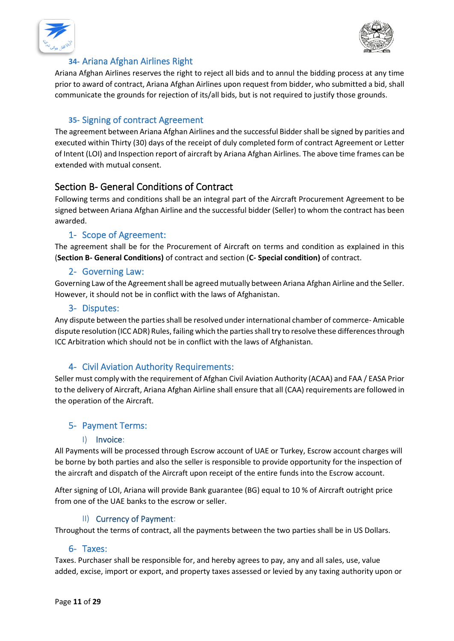



# **34-** Ariana Afghan Airlines Right

<span id="page-10-0"></span>Ariana Afghan Airlines reserves the right to reject all bids and to annul the bidding process at any time prior to award of contract, Ariana Afghan Airlines upon request from bidder, who submitted a bid, shall communicate the grounds for rejection of its/all bids, but is not required to justify those grounds.

# **35-** Signing of contract Agreement

<span id="page-10-1"></span>The agreement between Ariana Afghan Airlines and the successful Bidder shall be signed by parities and executed within Thirty (30) days of the receipt of duly completed form of contract Agreement or Letter of Intent (LOI) and Inspection report of aircraft by Ariana Afghan Airlines. The above time frames can be extended with mutual consent.

# <span id="page-10-2"></span>Section B- General Conditions of Contract

Following terms and conditions shall be an integral part of the Aircraft Procurement Agreement to be signed between Ariana Afghan Airline and the successful bidder (Seller) to whom the contract has been awarded.

# 1- Scope of Agreement:

<span id="page-10-3"></span>The agreement shall be for the Procurement of Aircraft on terms and condition as explained in this (**Section B- General Conditions)** of contract and section (**C- Special condition)** of contract.

#### 2- Governing Law:

<span id="page-10-4"></span>Governing Law of the Agreement shall be agreed mutually between Ariana Afghan Airline and the Seller. However, it should not be in conflict with the laws of Afghanistan.

#### 3- Disputes:

<span id="page-10-5"></span>Any dispute between the parties shall be resolved under international chamber of commerce- Amicable dispute resolution (ICC ADR) Rules, failing which the parties shall try to resolve these differences through ICC Arbitration which should not be in conflict with the laws of Afghanistan.

# 4- Civil Aviation Authority Requirements:

<span id="page-10-6"></span>Seller must comply with the requirement of Afghan Civil Aviation Authority (ACAA) and FAA / EASA Prior to the delivery of Aircraft, Ariana Afghan Airline shall ensure that all (CAA) requirements are followed in the operation of the Aircraft.

# <span id="page-10-7"></span>5- Payment Terms:

#### I) Invoice:

<span id="page-10-8"></span>All Payments will be processed through Escrow account of UAE or Turkey, Escrow account charges will be borne by both parties and also the seller is responsible to provide opportunity for the inspection of the aircraft and dispatch of the Aircraft upon receipt of the entire funds into the Escrow account.

After signing of LOI, Ariana will provide Bank guarantee (BG) equal to 10 % of Aircraft outright price from one of the UAE banks to the escrow or seller.

#### II) Currency of Payment:

<span id="page-10-9"></span>Throughout the terms of contract, all the payments between the two parties shall be in US Dollars.

#### 6- Taxes:

<span id="page-10-10"></span>Taxes. Purchaser shall be responsible for, and hereby agrees to pay, any and all sales, use, value added, excise, import or export, and property taxes assessed or levied by any taxing authority upon or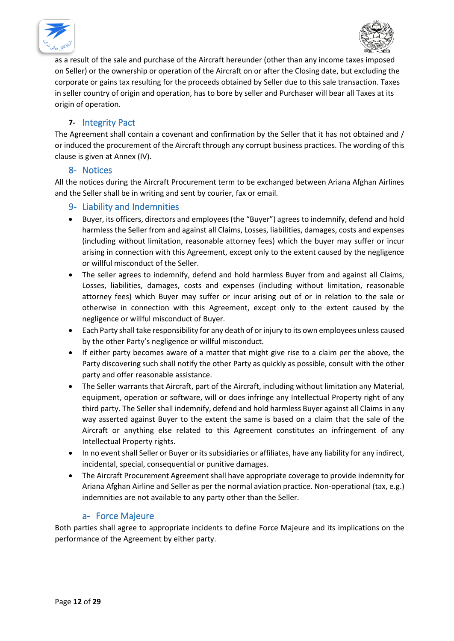



as a result of the sale and purchase of the Aircraft hereunder (other than any income taxes imposed on Seller) or the ownership or operation of the Aircraft on or after the Closing date, but excluding the corporate or gains tax resulting for the proceeds obtained by Seller due to this sale transaction. Taxes in seller country of origin and operation, has to bore by seller and Purchaser will bear all Taxes at its origin of operation.

# **7-** Integrity Pact

<span id="page-11-0"></span>The Agreement shall contain a covenant and confirmation by the Seller that it has not obtained and / or induced the procurement of the Aircraft through any corrupt business practices. The wording of this clause is given at Annex (IV).

#### 8- Notices

<span id="page-11-1"></span>All the notices during the Aircraft Procurement term to be exchanged between Ariana Afghan Airlines and the Seller shall be in writing and sent by courier, fax or email.

# <span id="page-11-2"></span>9- Liability and Indemnities

- Buyer, its officers, directors and employees (the "Buyer") agrees to indemnify, defend and hold harmless the Seller from and against all Claims, Losses, liabilities, damages, costs and expenses (including without limitation, reasonable attorney fees) which the buyer may suffer or incur arising in connection with this Agreement, except only to the extent caused by the negligence or willful misconduct of the Seller.
- The seller agrees to indemnify, defend and hold harmless Buyer from and against all Claims, Losses, liabilities, damages, costs and expenses (including without limitation, reasonable attorney fees) which Buyer may suffer or incur arising out of or in relation to the sale or otherwise in connection with this Agreement, except only to the extent caused by the negligence or willful misconduct of Buyer.
- Each Party shall take responsibility for any death of or injury to its own employees unless caused by the other Party's negligence or willful misconduct.
- If either party becomes aware of a matter that might give rise to a claim per the above, the Party discovering such shall notify the other Party as quickly as possible, consult with the other party and offer reasonable assistance.
- The Seller warrants that Aircraft, part of the Aircraft, including without limitation any Material, equipment, operation or software, will or does infringe any Intellectual Property right of any third party. The Seller shall indemnify, defend and hold harmless Buyer against all Claims in any way asserted against Buyer to the extent the same is based on a claim that the sale of the Aircraft or anything else related to this Agreement constitutes an infringement of any Intellectual Property rights.
- In no event shall Seller or Buyer or its subsidiaries or affiliates, have any liability for any indirect, incidental, special, consequential or punitive damages.
- The Aircraft Procurement Agreement shall have appropriate coverage to provide indemnity for Ariana Afghan Airline and Seller as per the normal aviation practice. Non-operational (tax, e.g.) indemnities are not available to any party other than the Seller.

#### a- Force Majeure

<span id="page-11-3"></span>Both parties shall agree to appropriate incidents to define Force Majeure and its implications on the performance of the Agreement by either party.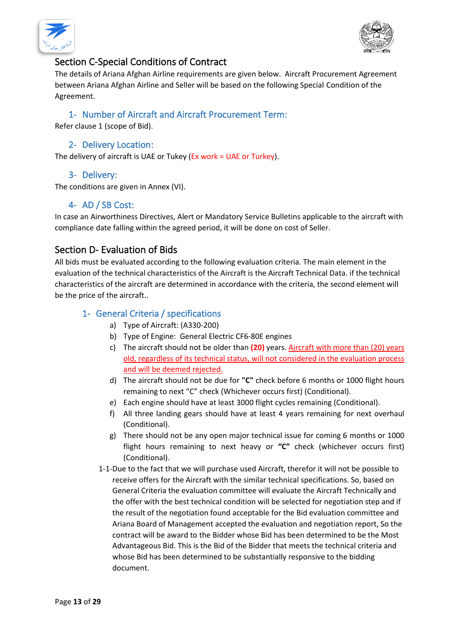



# <span id="page-12-0"></span>Section C-Special Conditions of Contract

The details of Ariana Afghan Airline requirements are given below. Aircraft Procurement Agreement between Ariana Afghan Airline and Seller will be based on the following Special Condition of the Agreement.

# 1- Number of Aircraft and Aircraft Procurement Term:

<span id="page-12-1"></span>Refer clause 1 (scope of Bid).

# 2- Delivery Location:

<span id="page-12-2"></span>The delivery of aircraft is UAE or Tukey (Ex work = UAE or Turkey).

# 3- Delivery:

<span id="page-12-3"></span>The conditions are given in Annex (VI).

# 4- AD / SB Cost:

<span id="page-12-4"></span>In case an Airworthiness Directives, Alert or Mandatory Service Bulletins applicable to the aircraft with compliance date falling within the agreed period, it will be done on cost of Seller.

# <span id="page-12-5"></span>Section D- Evaluation of Bids

All bids must be evaluated according to the following evaluation criteria. The main element in the evaluation of the technical characteristics of the Aircraft is the Aircraft Technical Data. if the technical characteristics of the aircraft are determined in accordance with the criteria, the second element will be the price of the aircraft..

# <span id="page-12-6"></span>1- General Criteria / specifications

- a) Type of Aircraft: (A330-200)
- b) Type of Engine: General Electric CF6-80E engines
- c) The aircraft should not be older than **(20)** years. Aircraft with more than (20) years old, regardless of its technical status, will not considered in the evaluation process and will be deemed rejected.
- d) The aircraft should not be due for **"C"** check before 6 months or 1000 flight hours remaining to next "C" check (Whichever occurs first) (Conditional).
- e) Each engine should have at least 3000 flight cycles remaining (Conditional).
- f) All three landing gears should have at least 4 years remaining for next overhaul (Conditional).
- g) There should not be any open major technical issue for coming 6 months or 1000 flight hours remaining to next heavy or **"C"** check (whichever occurs first) (Conditional).
- 1-1-Due to the fact that we will purchase used Aircraft, therefor it will not be possible to receive offers for the Aircraft with the similar technical specifications. So, based on General Criteria the evaluation committee will evaluate the Aircraft Technically and the offer with the best technical condition will be selected for negotiation step and if the result of the negotiation found acceptable for the Bid evaluation committee and Ariana Board of Management accepted the evaluation and negotiation report, So the contract will be award to the Bidder whose Bid has been determined to be the Most Advantageous Bid. This is the Bid of the Bidder that meets the technical criteria and whose Bid has been determined to be substantially responsive to the bidding document.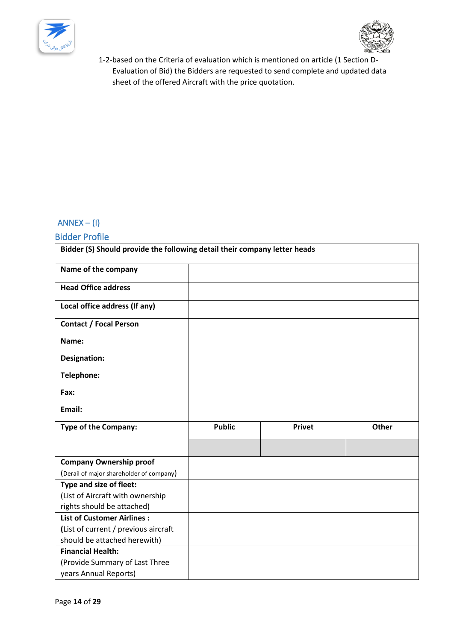



1-2-based on the Criteria of evaluation which is mentioned on article (1 Section D-Evaluation of Bid) the Bidders are requested to send complete and updated data sheet of the offered Aircraft with the price quotation.

# <span id="page-13-0"></span> $ANNEX - (I)$

# <span id="page-13-1"></span>Bidder Profile

| Bidder (S) Should provide the following detail their company letter heads |               |               |       |  |
|---------------------------------------------------------------------------|---------------|---------------|-------|--|
| Name of the company                                                       |               |               |       |  |
| <b>Head Office address</b>                                                |               |               |       |  |
| Local office address (If any)                                             |               |               |       |  |
| <b>Contact / Focal Person</b>                                             |               |               |       |  |
| Name:                                                                     |               |               |       |  |
| Designation:                                                              |               |               |       |  |
| Telephone:                                                                |               |               |       |  |
| Fax:                                                                      |               |               |       |  |
| Email:                                                                    |               |               |       |  |
| <b>Type of the Company:</b>                                               | <b>Public</b> | <b>Privet</b> | Other |  |
|                                                                           |               |               |       |  |
| <b>Company Ownership proof</b>                                            |               |               |       |  |
| (Derail of major shareholder of company)                                  |               |               |       |  |
| Type and size of fleet:                                                   |               |               |       |  |
| (List of Aircraft with ownership                                          |               |               |       |  |
| rights should be attached)                                                |               |               |       |  |
| <b>List of Customer Airlines:</b>                                         |               |               |       |  |
| (List of current / previous aircraft                                      |               |               |       |  |
| should be attached herewith)                                              |               |               |       |  |
| <b>Financial Health:</b>                                                  |               |               |       |  |
| (Provide Summary of Last Three                                            |               |               |       |  |
| years Annual Reports)                                                     |               |               |       |  |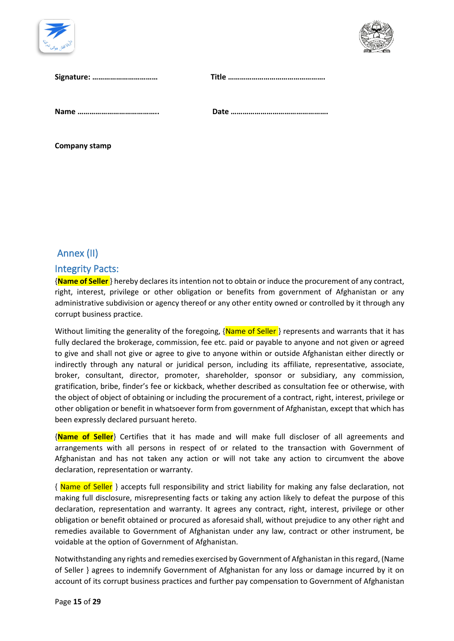



| Signature: |  |
|------------|--|
|            |  |

**Company stamp** 

# <span id="page-14-0"></span>Annex (II)

# <span id="page-14-1"></span>Integrity Pacts:

{**Name of Seller** } hereby declares its intention not to obtain or induce the procurement of any contract, right, interest, privilege or other obligation or benefits from government of Afghanistan or any administrative subdivision or agency thereof or any other entity owned or controlled by it through any corrupt business practice.

Without limiting the generality of the foregoing, {Name of Seller} represents and warrants that it has fully declared the brokerage, commission, fee etc. paid or payable to anyone and not given or agreed to give and shall not give or agree to give to anyone within or outside Afghanistan either directly or indirectly through any natural or juridical person, including its affiliate, representative, associate, broker, consultant, director, promoter, shareholder, sponsor or subsidiary, any commission, gratification, bribe, finder's fee or kickback, whether described as consultation fee or otherwise, with the object of object of obtaining or including the procurement of a contract, right, interest, privilege or other obligation or benefit in whatsoever form from government of Afghanistan, except that which has been expressly declared pursuant hereto.

{**Name of Seller**} Certifies that it has made and will make full discloser of all agreements and arrangements with all persons in respect of or related to the transaction with Government of Afghanistan and has not taken any action or will not take any action to circumvent the above declaration, representation or warranty.

{ Name of Seller } accepts full responsibility and strict liability for making any false declaration, not making full disclosure, misrepresenting facts or taking any action likely to defeat the purpose of this declaration, representation and warranty. It agrees any contract, right, interest, privilege or other obligation or benefit obtained or procured as aforesaid shall, without prejudice to any other right and remedies available to Government of Afghanistan under any law, contract or other instrument, be voidable at the option of Government of Afghanistan.

Notwithstanding any rights and remedies exercised by Government of Afghanistan in this regard, (Name of Seller } agrees to indemnify Government of Afghanistan for any loss or damage incurred by it on account of its corrupt business practices and further pay compensation to Government of Afghanistan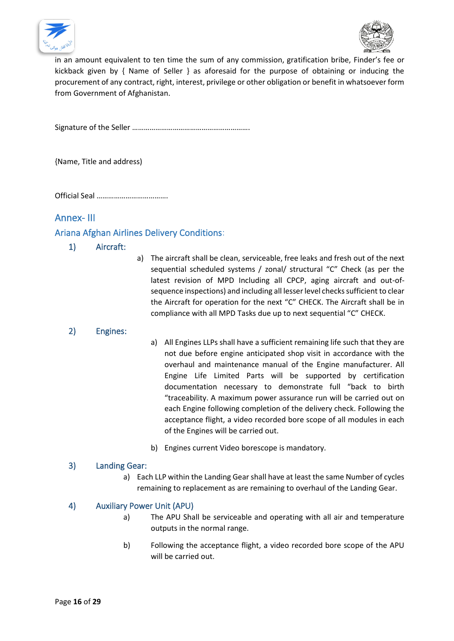



in an amount equivalent to ten time the sum of any commission, gratification bribe, Finder's fee or kickback given by { Name of Seller } as aforesaid for the purpose of obtaining or inducing the procurement of any contract, right, interest, privilege or other obligation or benefit in whatsoever form from Government of Afghanistan.

Signature of the Seller …………………………………………………….

{Name, Title and address)

Official Seal ……………………………….

# <span id="page-15-0"></span>Annex- III

# <span id="page-15-2"></span><span id="page-15-1"></span>Ariana Afghan Airlines Delivery Conditions:

#### 1) Aircraft:

a) The aircraft shall be clean, serviceable, free leaks and fresh out of the next sequential scheduled systems / zonal/ structural "C" Check (as per the latest revision of MPD Including all CPCP, aging aircraft and out-ofsequence inspections) and including all lesser level checks sufficient to clear the Aircraft for operation for the next "C" CHECK. The Aircraft shall be in compliance with all MPD Tasks due up to next sequential "C" CHECK.

#### <span id="page-15-3"></span>2) Engines:

- a) All Engines LLPs shall have a sufficient remaining life such that they are not due before engine anticipated shop visit in accordance with the overhaul and maintenance manual of the Engine manufacturer. All Engine Life Limited Parts will be supported by certification documentation necessary to demonstrate full "back to birth "traceability. A maximum power assurance run will be carried out on each Engine following completion of the delivery check. Following the acceptance flight, a video recorded bore scope of all modules in each of the Engines will be carried out.
- b) Engines current Video borescope is mandatory.

#### <span id="page-15-4"></span>3) Landing Gear:

a) Each LLP within the Landing Gear shall have at least the same Number of cycles remaining to replacement as are remaining to overhaul of the Landing Gear.

#### <span id="page-15-5"></span>4) Auxiliary Power Unit (APU)

- a) The APU Shall be serviceable and operating with all air and temperature outputs in the normal range.
- b) Following the acceptance flight, a video recorded bore scope of the APU will be carried out.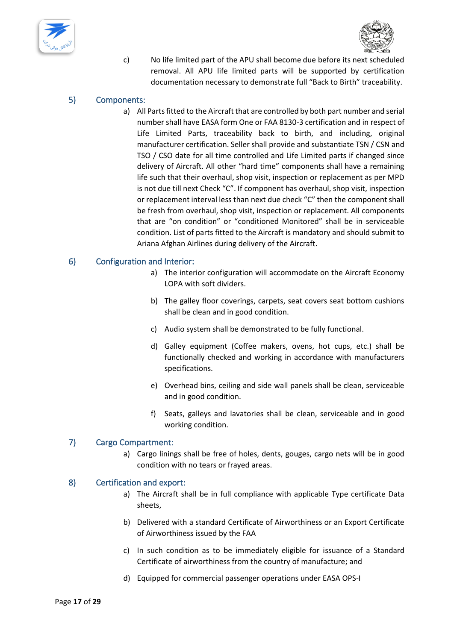



c) No life limited part of the APU shall become due before its next scheduled removal. All APU life limited parts will be supported by certification documentation necessary to demonstrate full "Back to Birth" traceability.

#### <span id="page-16-0"></span>5) Components:

a) All Parts fitted to the Aircraft that are controlled by both part number and serial number shall have EASA form One or FAA 8130-3 certification and in respect of Life Limited Parts, traceability back to birth, and including, original manufacturer certification. Seller shall provide and substantiate TSN / CSN and TSO / CSO date for all time controlled and Life Limited parts if changed since delivery of Aircraft. All other "hard time" components shall have a remaining life such that their overhaul, shop visit, inspection or replacement as per MPD is not due till next Check "C". If component has overhaul, shop visit, inspection or replacement interval less than next due check "C" then the component shall be fresh from overhaul, shop visit, inspection or replacement. All components that are "on condition" or "conditioned Monitored" shall be in serviceable condition. List of parts fitted to the Aircraft is mandatory and should submit to Ariana Afghan Airlines during delivery of the Aircraft.

#### <span id="page-16-1"></span>6) Configuration and Interior:

- a) The interior configuration will accommodate on the Aircraft Economy LOPA with soft dividers.
- b) The galley floor coverings, carpets, seat covers seat bottom cushions shall be clean and in good condition.
- c) Audio system shall be demonstrated to be fully functional.
- d) Galley equipment (Coffee makers, ovens, hot cups, etc.) shall be functionally checked and working in accordance with manufacturers specifications.
- e) Overhead bins, ceiling and side wall panels shall be clean, serviceable and in good condition.
- f) Seats, galleys and lavatories shall be clean, serviceable and in good working condition.

#### <span id="page-16-2"></span>7) Cargo Compartment:

a) Cargo linings shall be free of holes, dents, gouges, cargo nets will be in good condition with no tears or frayed areas.

#### <span id="page-16-3"></span>8) Certification and export:

- a) The Aircraft shall be in full compliance with applicable Type certificate Data sheets,
- b) Delivered with a standard Certificate of Airworthiness or an Export Certificate of Airworthiness issued by the FAA
- c) In such condition as to be immediately eligible for issuance of a Standard Certificate of airworthiness from the country of manufacture; and
- d) Equipped for commercial passenger operations under EASA OPS-I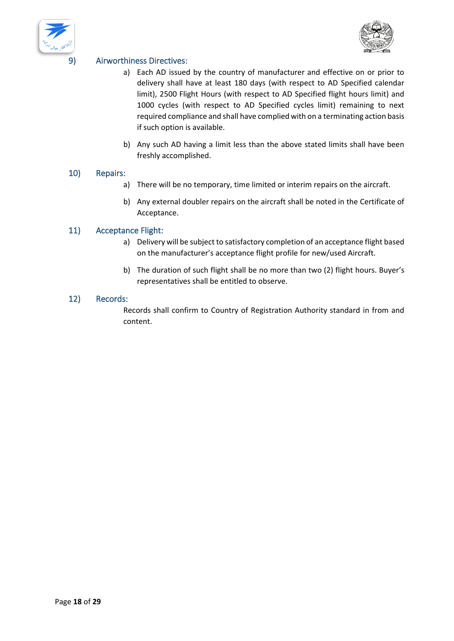



# <span id="page-17-0"></span>9) Airworthiness Directives:

- a) Each AD issued by the country of manufacturer and effective on or prior to delivery shall have at least 180 days (with respect to AD Specified calendar limit), 2500 Flight Hours (with respect to AD Specified flight hours limit) and 1000 cycles (with respect to AD Specified cycles limit) remaining to next required compliance and shall have complied with on a terminating action basis if such option is available.
- b) Any such AD having a limit less than the above stated limits shall have been freshly accomplished.

#### <span id="page-17-1"></span>10) Repairs:

- a) There will be no temporary, time limited or interim repairs on the aircraft.
- b) Any external doubler repairs on the aircraft shall be noted in the Certificate of Acceptance.

#### <span id="page-17-2"></span>11) Acceptance Flight:

- a) Delivery will be subject to satisfactory completion of an acceptance flight based on the manufacturer's acceptance flight profile for new/used Aircraft.
- b) The duration of such flight shall be no more than two (2) flight hours. Buyer's representatives shall be entitled to observe.

#### <span id="page-17-3"></span>12) Records:

Records shall confirm to Country of Registration Authority standard in from and content.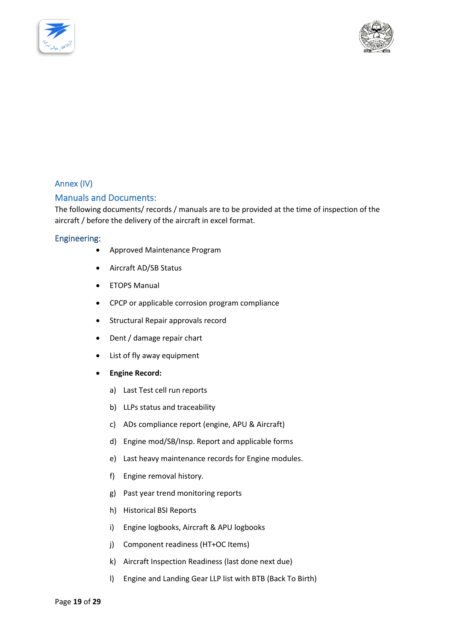



# <span id="page-18-0"></span>Annex (IV)

#### <span id="page-18-1"></span>Manuals and Documents:

The following documents/ records / manuals are to be provided at the time of inspection of the aircraft / before the delivery of the aircraft in excel format.

#### <span id="page-18-2"></span>Engineering:

- Approved Maintenance Program
- Aircraft AD/SB Status
- ETOPS Manual
- CPCP or applicable corrosion program compliance
- Structural Repair approvals record
- Dent / damage repair chart
- List of fly away equipment
- <span id="page-18-3"></span>• **Engine Record:** 
	- a) Last Test cell run reports
	- b) LLPs status and traceability
	- c) ADs compliance report (engine, APU & Aircraft)
	- d) Engine mod/SB/Insp. Report and applicable forms
	- e) Last heavy maintenance records for Engine modules.
	- f) Engine removal history.
	- g) Past year trend monitoring reports
	- h) Historical BSI Reports
	- i) Engine logbooks, Aircraft & APU logbooks
	- j) Component readiness (HT+OC Items)
	- k) Aircraft Inspection Readiness (last done next due)
	- l) Engine and Landing Gear LLP list with BTB (Back To Birth)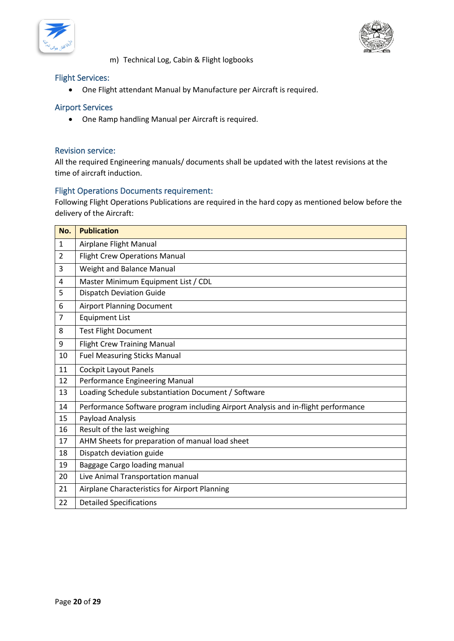



m) Technical Log, Cabin & Flight logbooks

#### <span id="page-19-0"></span>Flight Services:

• One Flight attendant Manual by Manufacture per Aircraft is required.

#### <span id="page-19-1"></span>Airport Services

• One Ramp handling Manual per Aircraft is required.

#### <span id="page-19-2"></span>Revision service:

All the required Engineering manuals/ documents shall be updated with the latest revisions at the time of aircraft induction.

#### <span id="page-19-3"></span>Flight Operations Documents requirement:

Following Flight Operations Publications are required in the hard copy as mentioned below before the delivery of the Aircraft:

| No.            | <b>Publication</b>                                                                |
|----------------|-----------------------------------------------------------------------------------|
| 1              | Airplane Flight Manual                                                            |
| $\overline{2}$ | <b>Flight Crew Operations Manual</b>                                              |
| 3              | Weight and Balance Manual                                                         |
| 4              | Master Minimum Equipment List / CDL                                               |
| 5              | <b>Dispatch Deviation Guide</b>                                                   |
| 6              | <b>Airport Planning Document</b>                                                  |
| 7              | <b>Equipment List</b>                                                             |
| 8              | <b>Test Flight Document</b>                                                       |
| 9              | <b>Flight Crew Training Manual</b>                                                |
| 10             | <b>Fuel Measuring Sticks Manual</b>                                               |
| 11             | <b>Cockpit Layout Panels</b>                                                      |
| 12             | Performance Engineering Manual                                                    |
| 13             | Loading Schedule substantiation Document / Software                               |
| 14             | Performance Software program including Airport Analysis and in-flight performance |
| 15             | Payload Analysis                                                                  |
| 16             | Result of the last weighing                                                       |
| 17             | AHM Sheets for preparation of manual load sheet                                   |
| 18             | Dispatch deviation guide                                                          |
| 19             | Baggage Cargo loading manual                                                      |
| 20             | Live Animal Transportation manual                                                 |
| 21             | Airplane Characteristics for Airport Planning                                     |
| 22             | <b>Detailed Specifications</b>                                                    |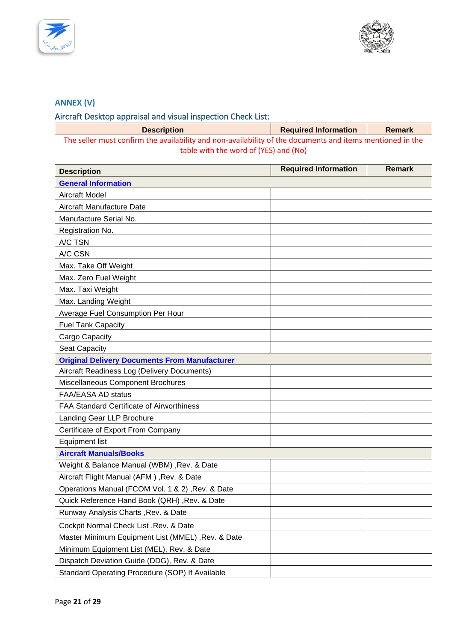



# <span id="page-20-0"></span>**ANNEX (V)**

# <span id="page-20-1"></span>Aircraft Desktop appraisal and visual inspection Check List:

| <b>Description</b>                                                                                        | <b>Required Information</b> | <b>Remark</b> |  |
|-----------------------------------------------------------------------------------------------------------|-----------------------------|---------------|--|
| The seller must confirm the availability and non-availability of the documents and items mentioned in the |                             |               |  |
| table with the word of (YES) and (No)                                                                     |                             |               |  |
| <b>Description</b>                                                                                        | <b>Required Information</b> | <b>Remark</b> |  |
| <b>General Information</b>                                                                                |                             |               |  |
| <b>Aircraft Model</b>                                                                                     |                             |               |  |
| Aircraft Manufacture Date                                                                                 |                             |               |  |
| Manufacture Serial No.                                                                                    |                             |               |  |
| Registration No.                                                                                          |                             |               |  |
| A/C TSN                                                                                                   |                             |               |  |
| A/C CSN                                                                                                   |                             |               |  |
| Max. Take Off Weight                                                                                      |                             |               |  |
| Max. Zero Fuel Weight                                                                                     |                             |               |  |
| Max. Taxi Weight                                                                                          |                             |               |  |
| Max. Landing Weight                                                                                       |                             |               |  |
| Average Fuel Consumption Per Hour                                                                         |                             |               |  |
| <b>Fuel Tank Capacity</b>                                                                                 |                             |               |  |
| Cargo Capacity                                                                                            |                             |               |  |
| Seat Capacity                                                                                             |                             |               |  |
| <b>Original Delivery Documents From Manufacturer</b>                                                      |                             |               |  |
| Aircraft Readiness Log (Delivery Documents)                                                               |                             |               |  |
| Miscellaneous Component Brochures                                                                         |                             |               |  |
| FAA/EASA AD status                                                                                        |                             |               |  |
| <b>FAA Standard Certificate of Airworthiness</b>                                                          |                             |               |  |
| Landing Gear LLP Brochure                                                                                 |                             |               |  |
| Certificate of Export From Company                                                                        |                             |               |  |
| <b>Equipment list</b>                                                                                     |                             |               |  |
| <b>Aircraft Manuals/Books</b>                                                                             |                             |               |  |
| Weight & Balance Manual (WBM) , Rev. & Date                                                               |                             |               |  |
| Aircraft Flight Manual (AFM), Rev. & Date                                                                 |                             |               |  |
| Operations Manual (FCOM Vol. 1 & 2), Rev. & Date                                                          |                             |               |  |
| Quick Reference Hand Book (QRH), Rev. & Date                                                              |                             |               |  |
| Runway Analysis Charts, Rev. & Date                                                                       |                             |               |  |
| Cockpit Normal Check List, Rev. & Date                                                                    |                             |               |  |
| Master Minimum Equipment List (MMEL), Rev. & Date                                                         |                             |               |  |
| Minimum Equipment List (MEL), Rev. & Date                                                                 |                             |               |  |
| Dispatch Deviation Guide (DDG), Rev. & Date                                                               |                             |               |  |
| Standard Operating Procedure (SOP) If Available                                                           |                             |               |  |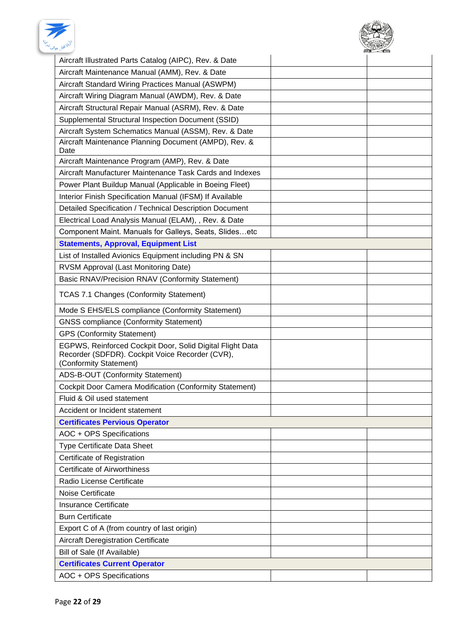



| Aircraft Illustrated Parts Catalog (AIPC), Rev. & Date                                                                                 |  |
|----------------------------------------------------------------------------------------------------------------------------------------|--|
| Aircraft Maintenance Manual (AMM), Rev. & Date                                                                                         |  |
| Aircraft Standard Wiring Practices Manual (ASWPM)                                                                                      |  |
| Aircraft Wiring Diagram Manual (AWDM), Rev. & Date                                                                                     |  |
| Aircraft Structural Repair Manual (ASRM), Rev. & Date                                                                                  |  |
| Supplemental Structural Inspection Document (SSID)                                                                                     |  |
| Aircraft System Schematics Manual (ASSM), Rev. & Date                                                                                  |  |
| Aircraft Maintenance Planning Document (AMPD), Rev. &<br>Date                                                                          |  |
| Aircraft Maintenance Program (AMP), Rev. & Date                                                                                        |  |
| Aircraft Manufacturer Maintenance Task Cards and Indexes                                                                               |  |
| Power Plant Buildup Manual (Applicable in Boeing Fleet)                                                                                |  |
| Interior Finish Specification Manual (IFSM) If Available                                                                               |  |
| Detailed Specification / Technical Description Document                                                                                |  |
| Electrical Load Analysis Manual (ELAM), , Rev. & Date                                                                                  |  |
| Component Maint. Manuals for Galleys, Seats, Slidesetc                                                                                 |  |
| <b>Statements, Approval, Equipment List</b>                                                                                            |  |
| List of Installed Avionics Equipment including PN & SN                                                                                 |  |
| RVSM Approval (Last Monitoring Date)                                                                                                   |  |
| Basic RNAV/Precision RNAV (Conformity Statement)                                                                                       |  |
| <b>TCAS 7.1 Changes (Conformity Statement)</b>                                                                                         |  |
| Mode S EHS/ELS compliance (Conformity Statement)                                                                                       |  |
| <b>GNSS compliance (Conformity Statement)</b>                                                                                          |  |
| <b>GPS (Conformity Statement)</b>                                                                                                      |  |
| EGPWS, Reinforced Cockpit Door, Solid Digital Flight Data<br>Recorder (SDFDR). Cockpit Voice Recorder (CVR),<br>(Conformity Statement) |  |
| ADS-B-OUT (Conformity Statement)                                                                                                       |  |
| <b>Cockpit Door Camera Modification (Conformity Statement)</b>                                                                         |  |
| Fluid & Oil used statement                                                                                                             |  |
| Accident or Incident statement                                                                                                         |  |
| <b>Certificates Pervious Operator</b>                                                                                                  |  |
| AOC + OPS Specifications                                                                                                               |  |
| Type Certificate Data Sheet                                                                                                            |  |
| Certificate of Registration                                                                                                            |  |
| <b>Certificate of Airworthiness</b>                                                                                                    |  |
| Radio License Certificate                                                                                                              |  |
| Noise Certificate                                                                                                                      |  |
| <b>Insurance Certificate</b>                                                                                                           |  |
| <b>Burn Certificate</b>                                                                                                                |  |
| Export C of A (from country of last origin)                                                                                            |  |
| Aircraft Deregistration Certificate                                                                                                    |  |
| Bill of Sale (If Available)                                                                                                            |  |
| <b>Certificates Current Operator</b>                                                                                                   |  |
| AOC + OPS Specifications                                                                                                               |  |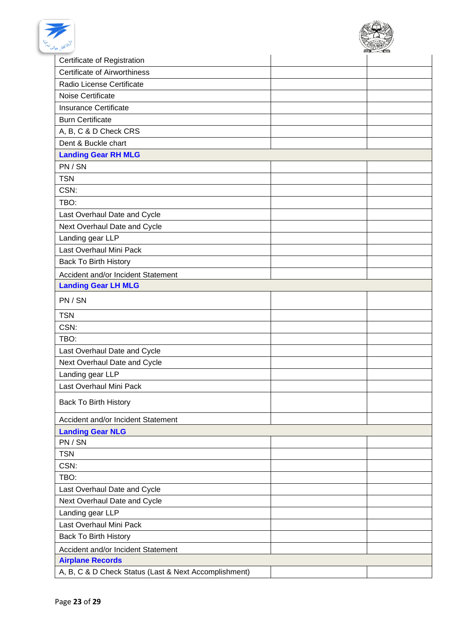



| Certificate of Registration                           |  |
|-------------------------------------------------------|--|
| <b>Certificate of Airworthiness</b>                   |  |
| Radio License Certificate                             |  |
| Noise Certificate                                     |  |
| Insurance Certificate                                 |  |
| <b>Burn Certificate</b>                               |  |
| A, B, C & D Check CRS                                 |  |
| Dent & Buckle chart                                   |  |
| <b>Landing Gear RH MLG</b>                            |  |
| PN / SN                                               |  |
| <b>TSN</b>                                            |  |
| CSN:                                                  |  |
| TBO:                                                  |  |
| Last Overhaul Date and Cycle                          |  |
| Next Overhaul Date and Cycle                          |  |
| Landing gear LLP                                      |  |
| Last Overhaul Mini Pack                               |  |
| <b>Back To Birth History</b>                          |  |
| Accident and/or Incident Statement                    |  |
| <b>Landing Gear LH MLG</b>                            |  |
|                                                       |  |
| PN / SN                                               |  |
| <b>TSN</b>                                            |  |
| CSN:                                                  |  |
| TBO:                                                  |  |
| Last Overhaul Date and Cycle                          |  |
| Next Overhaul Date and Cycle                          |  |
| Landing gear LLP                                      |  |
| Last Overhaul Mini Pack                               |  |
| <b>Back To Birth History</b>                          |  |
| Accident and/or Incident Statement                    |  |
| <b>Landing Gear NLG</b>                               |  |
| PN / SN                                               |  |
| <b>TSN</b>                                            |  |
| CSN:                                                  |  |
| TBO:                                                  |  |
| Last Overhaul Date and Cycle                          |  |
| Next Overhaul Date and Cycle                          |  |
| Landing gear LLP                                      |  |
| Last Overhaul Mini Pack                               |  |
| <b>Back To Birth History</b>                          |  |
| Accident and/or Incident Statement                    |  |
| <b>Airplane Records</b>                               |  |
| A, B, C & D Check Status (Last & Next Accomplishment) |  |
|                                                       |  |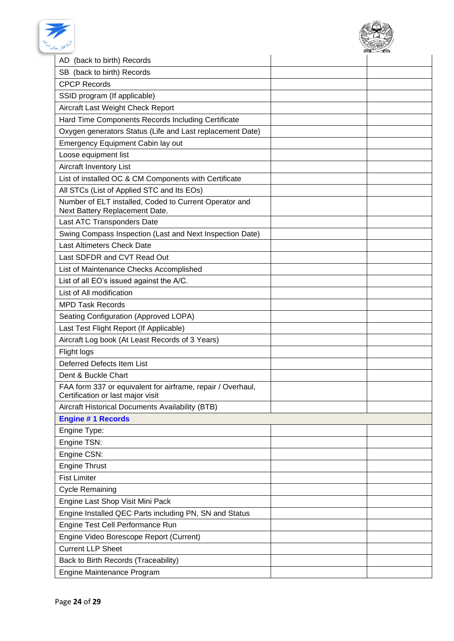



| AD (back to birth) Records                                                                       |  |
|--------------------------------------------------------------------------------------------------|--|
| SB (back to birth) Records                                                                       |  |
| <b>CPCP Records</b>                                                                              |  |
| SSID program (If applicable)                                                                     |  |
| Aircraft Last Weight Check Report                                                                |  |
| Hard Time Components Records Including Certificate                                               |  |
| Oxygen generators Status (Life and Last replacement Date)                                        |  |
| <b>Emergency Equipment Cabin lay out</b>                                                         |  |
| Loose equipment list                                                                             |  |
| Aircraft Inventory List                                                                          |  |
| List of installed OC & CM Components with Certificate                                            |  |
| All STCs (List of Applied STC and Its EOs)                                                       |  |
| Number of ELT installed, Coded to Current Operator and<br>Next Battery Replacement Date.         |  |
| Last ATC Transponders Date                                                                       |  |
| Swing Compass Inspection (Last and Next Inspection Date)                                         |  |
| Last Altimeters Check Date                                                                       |  |
| Last SDFDR and CVT Read Out                                                                      |  |
| List of Maintenance Checks Accomplished                                                          |  |
| List of all EO's issued against the A/C.                                                         |  |
| List of All modification                                                                         |  |
| <b>MPD Task Records</b>                                                                          |  |
| Seating Configuration (Approved LOPA)                                                            |  |
| Last Test Flight Report (If Applicable)                                                          |  |
| Aircraft Log book (At Least Records of 3 Years)                                                  |  |
| Flight logs                                                                                      |  |
| <b>Deferred Defects Item List</b>                                                                |  |
| Dent & Buckle Chart                                                                              |  |
| FAA form 337 or equivalent for airframe, repair / Overhaul,<br>Certification or last major visit |  |
| Aircraft Historical Documents Availability (BTB)                                                 |  |
| <b>Engine #1 Records</b>                                                                         |  |
| Engine Type:                                                                                     |  |
| Engine TSN:                                                                                      |  |
| Engine CSN:                                                                                      |  |
| <b>Engine Thrust</b>                                                                             |  |
| <b>Fist Limiter</b>                                                                              |  |
| <b>Cycle Remaining</b>                                                                           |  |
| Engine Last Shop Visit Mini Pack                                                                 |  |
| Engine Installed QEC Parts including PN, SN and Status                                           |  |
| Engine Test Cell Performance Run                                                                 |  |
| Engine Video Borescope Report (Current)                                                          |  |
| <b>Current LLP Sheet</b>                                                                         |  |
| Back to Birth Records (Traceability)                                                             |  |
| Engine Maintenance Program                                                                       |  |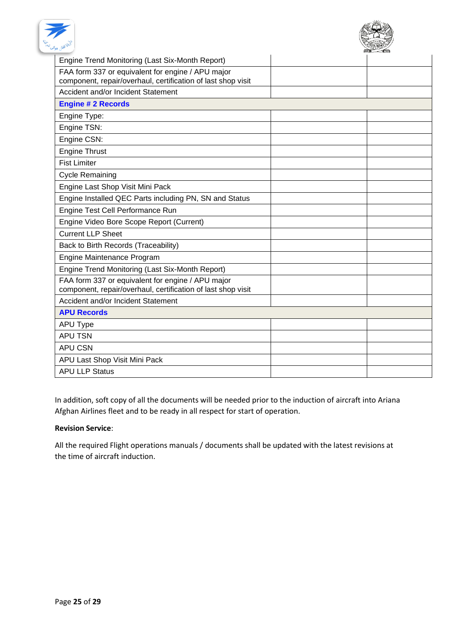



| Engine Trend Monitoring (Last Six-Month Report)                                                                   |  |
|-------------------------------------------------------------------------------------------------------------------|--|
| FAA form 337 or equivalent for engine / APU major<br>component, repair/overhaul, certification of last shop visit |  |
| Accident and/or Incident Statement                                                                                |  |
| <b>Engine # 2 Records</b>                                                                                         |  |
| Engine Type:                                                                                                      |  |
| Engine TSN:                                                                                                       |  |
| Engine CSN:                                                                                                       |  |
| <b>Engine Thrust</b>                                                                                              |  |
| <b>Fist Limiter</b>                                                                                               |  |
| <b>Cycle Remaining</b>                                                                                            |  |
| Engine Last Shop Visit Mini Pack                                                                                  |  |
| Engine Installed QEC Parts including PN, SN and Status                                                            |  |
| Engine Test Cell Performance Run                                                                                  |  |
| Engine Video Bore Scope Report (Current)                                                                          |  |
| <b>Current LLP Sheet</b>                                                                                          |  |
| Back to Birth Records (Traceability)                                                                              |  |
| Engine Maintenance Program                                                                                        |  |
| Engine Trend Monitoring (Last Six-Month Report)                                                                   |  |
| FAA form 337 or equivalent for engine / APU major<br>component, repair/overhaul, certification of last shop visit |  |
| Accident and/or Incident Statement                                                                                |  |
| <b>APU Records</b>                                                                                                |  |
| <b>APU Type</b>                                                                                                   |  |
| <b>APU TSN</b>                                                                                                    |  |
| <b>APU CSN</b>                                                                                                    |  |
| APU Last Shop Visit Mini Pack                                                                                     |  |
| <b>APU LLP Status</b>                                                                                             |  |

In addition, soft copy of all the documents will be needed prior to the induction of aircraft into Ariana Afghan Airlines fleet and to be ready in all respect for start of operation.

#### **Revision Service**:

All the required Flight operations manuals / documents shall be updated with the latest revisions at the time of aircraft induction.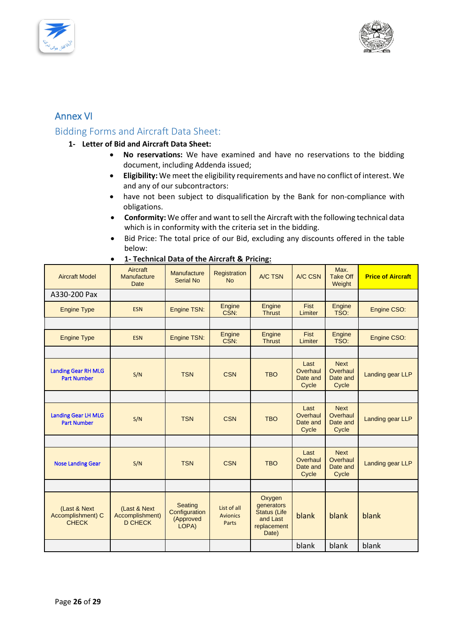



# <span id="page-25-0"></span>Annex VI

# <span id="page-25-1"></span>Bidding Forms and Aircraft Data Sheet:

#### <span id="page-25-2"></span>**1- Letter of Bid and Aircraft Data Sheet:**

- **No reservations:** We have examined and have no reservations to the bidding document, including Addenda issued;
- **Eligibility:** We meet the eligibility requirements and have no conflict of interest. We and any of our subcontractors:
- have not been subject to disqualification by the Bank for non-compliance with obligations.
- **Conformity:** We offer and want to sell the Aircraft with the following technical data which is in conformity with the criteria set in the bidding.
- Bid Price: The total price of our Bid, excluding any discounts offered in the table below:

| <b>Aircraft Model</b>                             | Aircraft<br>Manufacture<br><b>Date</b>            | Manufacture<br><b>Serial No</b>                | Registration<br><b>No</b>                      | A/C TSN                                                                         | A/C CSN                               | Max.<br><b>Take Off</b><br>Weight            | <b>Price of Aircraft</b> |
|---------------------------------------------------|---------------------------------------------------|------------------------------------------------|------------------------------------------------|---------------------------------------------------------------------------------|---------------------------------------|----------------------------------------------|--------------------------|
| A330-200 Pax                                      |                                                   |                                                |                                                |                                                                                 |                                       |                                              |                          |
| <b>Engine Type</b>                                | <b>ESN</b>                                        | Engine TSN:                                    | Engine<br>CSN:                                 | Engine<br><b>Thrust</b>                                                         | Fist<br>Limiter                       | Engine<br>TSO:                               | Engine CSO:              |
|                                                   |                                                   |                                                |                                                |                                                                                 |                                       |                                              |                          |
| <b>Engine Type</b>                                | <b>ESN</b>                                        | Engine TSN:                                    | Engine<br>CSN:                                 | Engine<br><b>Thrust</b>                                                         | Fist<br>Limiter                       | Engine<br>TSO:                               | Engine CSO:              |
|                                                   |                                                   |                                                |                                                |                                                                                 |                                       |                                              |                          |
| <b>Landing Gear RH MLG</b><br><b>Part Number</b>  | S/N                                               | <b>TSN</b>                                     | <b>CSN</b>                                     | <b>TBO</b>                                                                      | Last<br>Overhaul<br>Date and<br>Cycle | <b>Next</b><br>Overhaul<br>Date and<br>Cycle | Landing gear LLP         |
|                                                   |                                                   |                                                |                                                |                                                                                 |                                       |                                              |                          |
| <b>Landing Gear LH MLG</b><br><b>Part Number</b>  | S/N                                               | <b>TSN</b>                                     | <b>CSN</b>                                     | <b>TBO</b>                                                                      | Last<br>Overhaul<br>Date and<br>Cycle | <b>Next</b><br>Overhaul<br>Date and<br>Cycle | Landing gear LLP         |
|                                                   |                                                   |                                                |                                                |                                                                                 |                                       |                                              |                          |
| <b>Nose Landing Gear</b>                          | S/N                                               | <b>TSN</b>                                     | <b>CSN</b>                                     | <b>TBO</b>                                                                      | Last<br>Overhaul<br>Date and<br>Cycle | <b>Next</b><br>Overhaul<br>Date and<br>Cycle | Landing gear LLP         |
|                                                   |                                                   |                                                |                                                |                                                                                 |                                       |                                              |                          |
| (Last & Next<br>Accomplishment) C<br><b>CHECK</b> | (Last & Next<br>Accomplishment)<br><b>D CHECK</b> | Seating<br>Configuration<br>(Approved<br>LOPA) | List of all<br><b>Avionics</b><br><b>Parts</b> | Oxygen<br>generators<br><b>Status (Life</b><br>and Last<br>replacement<br>Date) | blank                                 | blank                                        | blank                    |
|                                                   |                                                   |                                                |                                                |                                                                                 | blank                                 | blank                                        | blank                    |

|  |  |  |  |  |  | 1- Technical Data of the Aircraft & Pricing: |  |
|--|--|--|--|--|--|----------------------------------------------|--|
|--|--|--|--|--|--|----------------------------------------------|--|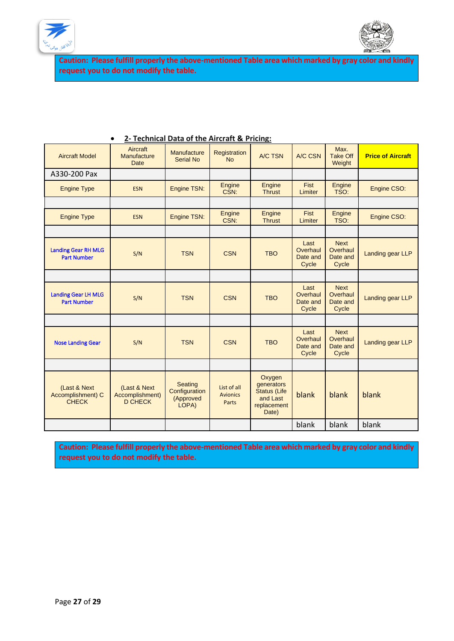



**Caution: Please fulfill properly the above-mentioned Table area which marked by gray color and kindly request you to do not modify the table.** 

| <b>Aircraft Model</b>                             | <b>Aircraft</b><br>Manufacture<br><b>Date</b>      | Manufacture<br><b>Serial No</b>                | Registration<br><b>No</b>                      | A/C TSN                                                                         | A/C CSN                               | Max.<br><b>Take Off</b><br>Weight            | <b>Price of Aircraft</b> |
|---------------------------------------------------|----------------------------------------------------|------------------------------------------------|------------------------------------------------|---------------------------------------------------------------------------------|---------------------------------------|----------------------------------------------|--------------------------|
| A330-200 Pax                                      |                                                    |                                                |                                                |                                                                                 |                                       |                                              |                          |
| <b>Engine Type</b>                                | <b>ESN</b>                                         | Engine TSN:                                    | Engine<br>CSN:                                 | Engine<br><b>Thrust</b>                                                         | <b>Fist</b><br>Limiter                | <b>Engine</b><br>TSO:                        | Engine CSO:              |
|                                                   |                                                    |                                                |                                                |                                                                                 |                                       |                                              |                          |
| <b>Engine Type</b>                                | <b>ESN</b>                                         | Engine TSN:                                    | Engine<br>CSN:                                 | Engine<br><b>Thrust</b>                                                         | <b>Fist</b><br>Limiter                | Engine<br>TSO:                               | Engine CSO:              |
|                                                   |                                                    |                                                |                                                |                                                                                 |                                       |                                              |                          |
| <b>Landing Gear RH MLG</b><br><b>Part Number</b>  | S/N                                                | <b>TSN</b>                                     | <b>CSN</b>                                     | <b>TBO</b>                                                                      | Last<br>Overhaul<br>Date and<br>Cycle | <b>Next</b><br>Overhaul<br>Date and<br>Cycle | Landing gear LLP         |
|                                                   |                                                    |                                                |                                                |                                                                                 |                                       |                                              |                          |
| <b>Landing Gear LH MLG</b><br><b>Part Number</b>  | S/N                                                | <b>TSN</b>                                     | <b>CSN</b>                                     | <b>TBO</b>                                                                      | Last<br>Overhaul<br>Date and<br>Cycle | <b>Next</b><br>Overhaul<br>Date and<br>Cycle | Landing gear LLP         |
|                                                   |                                                    |                                                |                                                |                                                                                 |                                       |                                              |                          |
| <b>Nose Landing Gear</b>                          | S/N                                                | <b>TSN</b>                                     | <b>CSN</b>                                     | <b>TBO</b>                                                                      | Last<br>Overhaul<br>Date and<br>Cycle | <b>Next</b><br>Overhaul<br>Date and<br>Cycle | Landing gear LLP         |
|                                                   |                                                    |                                                |                                                |                                                                                 |                                       |                                              |                          |
| (Last & Next<br>Accomplishment) C<br><b>CHECK</b> | (Last & Next)<br>Accomplishment)<br><b>D CHECK</b> | Seating<br>Configuration<br>(Approved<br>LOPA) | List of all<br><b>Avionics</b><br><b>Parts</b> | Oxygen<br>generators<br><b>Status (Life</b><br>and Last<br>replacement<br>Date) | blank                                 | blank                                        | blank                    |
|                                                   |                                                    |                                                |                                                |                                                                                 | blank                                 | blank                                        | blank                    |

### • **2- Technical Data of the Aircraft & Pricing:**

**Caution: Please fulfill properly the above-mentioned Table area which marked by gray color and kindly request you to do not modify the table.**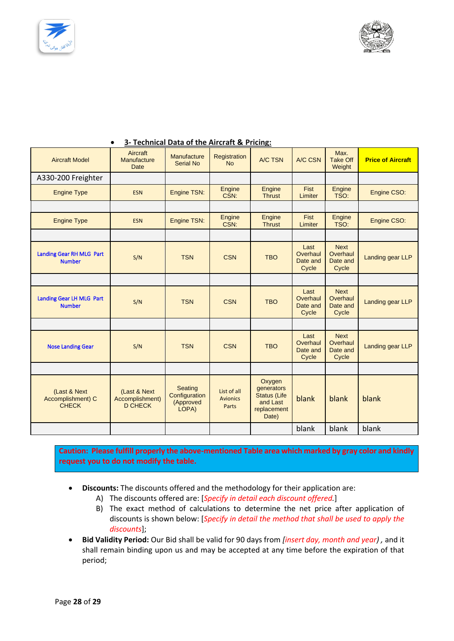



| <b>Aircraft Model</b>                             | Aircraft<br>Manufacture<br><b>Date</b>            | Manufacture<br><b>Serial No</b>                | Registration<br><b>No</b>               | A/C TSN                                                                         | A/C CSN                               | Max.<br><b>Take Off</b><br>Weight            | <b>Price of Aircraft</b> |
|---------------------------------------------------|---------------------------------------------------|------------------------------------------------|-----------------------------------------|---------------------------------------------------------------------------------|---------------------------------------|----------------------------------------------|--------------------------|
| A330-200 Freighter                                |                                                   |                                                |                                         |                                                                                 |                                       |                                              |                          |
| <b>Engine Type</b>                                | <b>ESN</b>                                        | Engine TSN:                                    | Engine<br>CSN:                          | Engine<br><b>Thrust</b>                                                         | Fist<br>Limiter                       | Engine<br>TSO:                               | Engine CSO:              |
|                                                   |                                                   |                                                |                                         |                                                                                 |                                       |                                              |                          |
| <b>Engine Type</b>                                | <b>ESN</b>                                        | Engine TSN:                                    | <b>Engine</b><br>CSN:                   | Engine<br><b>Thrust</b>                                                         | <b>Fist</b><br>Limiter                | Engine<br>TSO:                               | Engine CSO:              |
|                                                   |                                                   |                                                |                                         |                                                                                 |                                       |                                              |                          |
| Landing Gear RH MLG Part<br><b>Number</b>         | S/N                                               | <b>TSN</b>                                     | <b>CSN</b>                              | <b>TBO</b>                                                                      | Last<br>Overhaul<br>Date and<br>Cycle | <b>Next</b><br>Overhaul<br>Date and<br>Cycle | Landing gear LLP         |
|                                                   |                                                   |                                                |                                         |                                                                                 |                                       |                                              |                          |
| Landing Gear LH MLG Part<br><b>Number</b>         | S/N                                               | <b>TSN</b>                                     | <b>CSN</b>                              | <b>TBO</b>                                                                      | Last<br>Overhaul<br>Date and<br>Cycle | <b>Next</b><br>Overhaul<br>Date and<br>Cycle | Landing gear LLP         |
|                                                   |                                                   |                                                |                                         |                                                                                 |                                       |                                              |                          |
| <b>Nose Landing Gear</b>                          | S/N                                               | <b>TSN</b>                                     | <b>CSN</b>                              | <b>TBO</b>                                                                      | Last<br>Overhaul<br>Date and<br>Cycle | <b>Next</b><br>Overhaul<br>Date and<br>Cycle | Landing gear LLP         |
|                                                   |                                                   |                                                |                                         |                                                                                 |                                       |                                              |                          |
| (Last & Next<br>Accomplishment) C<br><b>CHECK</b> | (Last & Next<br>Accomplishment)<br><b>D CHECK</b> | Seating<br>Configuration<br>(Approved<br>LOPA) | List of all<br><b>Avionics</b><br>Parts | Oxygen<br>generators<br><b>Status (Life</b><br>and Last<br>replacement<br>Date) | blank                                 | blank                                        | blank                    |
|                                                   |                                                   |                                                |                                         |                                                                                 | blank                                 | blank                                        | blank                    |

### • **3- Technical Data of the Aircraft & Pricing:**

**Caution: Please fulfill properly the above-mentioned Table area which marked by gray color and kindly request you to do not modify the table.** 

- **Discounts:** The discounts offered and the methodology for their application are:
	- A) The discounts offered are: [*Specify in detail each discount offered.*]
	- B) The exact method of calculations to determine the net price after application of discounts is shown below: [*Specify in detail the method that shall be used to apply the discounts*];
- **Bid Validity Period:** Our Bid shall be valid for 90 days from *[insert day, month and year) ,* and it shall remain binding upon us and may be accepted at any time before the expiration of that period;